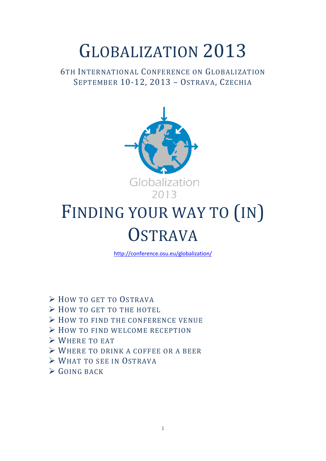# GLOBALIZATION 2013

## 6TH INTERNATIONAL CONFERENCE ON GLOBALIZATION SEPTEMBER 10-12, 2013 – OSTRAVA, CZECHIA



# FINDING YOUR WAY TO (IN) **OSTRAVA**

<http://conference.osu.eu/globalization/>

- $\triangleright$  HOW TO GET TO OSTRAVA
- $\triangleright$  How to get to the HOTEL
- $\triangleright$  How to find the conference venue
- > HOW TO FIND WELCOME RECEPTION
- WHERE TO EAT
- WHERE TO DRINK A COFFEE OR A BEER
- WHAT TO SEE IN OSTRAVA
- $\triangleright$  GOING BACK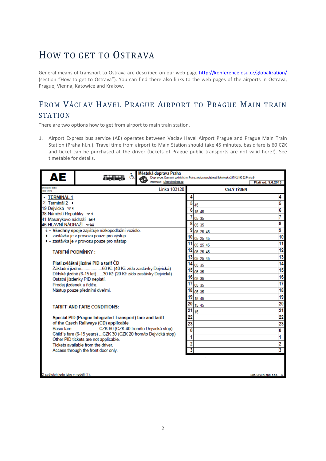# HOW TO GET TO OSTRAVA

General means of transport to Ostrava are described on our web page<http://konference.osu.cz/globalization/> (section "How to get to Ostrava"). You can find there also links to the web pages of the airports in Ostrava, Prague, Vienna, Katowice and Krakow.

## FROM VÁCLAV HAVEL PRAGUE AIRPORT TO PRAGUE MAIN TRAIN **STATION**

There are two options how to get from airport to main train station.

1. Airport Express bus service (AE) operates between Vaclav Havel Airport Prague and Prague Main Train Station (Praha hl.n.). Travel time from airport to Main Station should take 45 minutes, basic fare is 60 CZK and ticket can be purchased at the driver (tickets of Prague public transports are not valid here!). See timetable for details.

| АЕ                                   |                                                                 | Městská doprava Praha       |    | Dopravce: Dopravní podnik hl. m. Prahy, akciová společnost, Sokolovská 217/42, 190 22 Praha 9 |                          |
|--------------------------------------|-----------------------------------------------------------------|-----------------------------|----|-----------------------------------------------------------------------------------------------|--------------------------|
|                                      |                                                                 | Informace: Dispecink@dpo.cz |    |                                                                                               | Platí od: 9.6.2013       |
| <b>Wanta</b> Fel Arba<br>itzdy (min) |                                                                 | Linka 103120                |    | <b>CELÝ TÝDEN</b>                                                                             |                          |
| • TERMINÁL 1                         |                                                                 |                             |    |                                                                                               | 4                        |
| 2 Terminál 2 ·                       |                                                                 |                             | 5  | 45                                                                                            | 5                        |
| 19 Dejvická vz                       |                                                                 |                             | 6  |                                                                                               | 6                        |
| 38 Náměstí Republiky vr              |                                                                 |                             |    | 15 45                                                                                         |                          |
| 41 Masarykovo nádraží Ha             |                                                                 |                             |    | 05 35                                                                                         |                          |
| 46 HLAVNÍNÁDRAŽÍ ™                   |                                                                 |                             | 8  | 05 35                                                                                         | 8                        |
|                                      | & - Všechny spoje zajišťuje nízkopodlažní vozidlo.              |                             |    | 05 25 45                                                                                      | 9                        |
|                                      | € - zastávka je v provozu pouze pro výstup                      |                             | 10 | 05 25 45                                                                                      | 10                       |
|                                      | · zastávka je v provozu pouze pro nástup                        |                             | 11 | 05 25 45                                                                                      | 11                       |
| <b>TARIFNÍ PODMÍNKY:</b>             |                                                                 |                             |    | 05 25 45                                                                                      | 12                       |
|                                      |                                                                 |                             |    | 05 25 45                                                                                      | $\overline{13}$          |
|                                      | Platí zvláštní jízdné PID a tarif ČD                            |                             | 14 | 05 35                                                                                         | 14                       |
|                                      | Základní jízdné60 Kč (40 Kč z/do zastávky Dejvická)             |                             | 15 |                                                                                               | 15                       |
|                                      | Dětské jízdné (6-15 let) 30 Kč (20 Kč z/do zastávky Dejvická)   |                             | 16 | 05 35                                                                                         | 16                       |
|                                      | Ostatní jízdenky PID neplatí.                                   |                             |    | 05 35                                                                                         |                          |
|                                      | Prodej jízdenek u řidiče.                                       |                             | 17 | 05 35                                                                                         | $\overline{17}$          |
|                                      | Nástup pouze předními dveřmi.                                   |                             | 18 | 05 35                                                                                         | 18                       |
|                                      |                                                                 |                             | 19 | 15 45                                                                                         | 19                       |
|                                      | <b>TARIFF AND FARE CONDITIONS:</b>                              |                             | 20 | 15 45                                                                                         | 20                       |
|                                      |                                                                 |                             | 21 | 15                                                                                            | $\overline{21}$          |
|                                      | Special PID (Prague Integrated Transport) fare and tariff       |                             | 22 |                                                                                               | $\overline{22}$          |
|                                      | of the Czech Railways (CD) applicable                           |                             | 23 |                                                                                               | 23                       |
|                                      |                                                                 |                             | 0  |                                                                                               | 0                        |
|                                      | Child's fare (6-15 years) CZK 30 (CZK 20 from/to Dejvická stop) |                             | 1  |                                                                                               |                          |
|                                      | Other PID tickets are not applicable.                           |                             |    |                                                                                               |                          |
|                                      | Tickets available from the driver.                              |                             | 2  |                                                                                               | 2                        |
|                                      | Access through the front door only.                             |                             | 3  |                                                                                               | $\overline{\mathbf{3}}$  |
|                                      |                                                                 |                             |    |                                                                                               |                          |
| O svátcích jede jako v neděli (†).   |                                                                 |                             |    |                                                                                               | Soft. CHAPS spol. s r.o. |
|                                      |                                                                 |                             |    |                                                                                               |                          |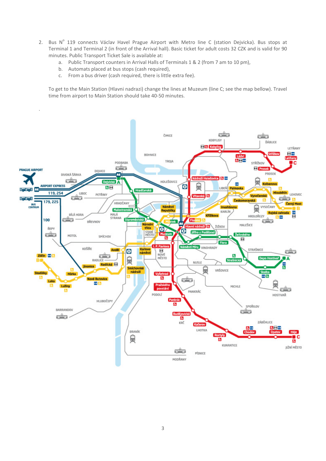- 2. Bus  $N^{\circ}$  119 connects Václav Havel Prague Airport with Metro line C (station Dejvicka). Bus stops at Terminal 1 and Terminal 2 (in front of the Arrival hall). Basic ticket for adult costs 32 CZK and is valid for 90 minutes. Public Transport Ticket Sale is available at:
	- a. Public Transport counters in Arrival Halls of Terminals 1 & 2 (from 7 am to 10 pm),
	- b. Automats placed at bus stops (cash required),
	- c. From a bus driver (cash required, there is little extra fee).

To get to the Main Station (Hlavni nadrazi) change the lines at Muzeum (line C; see the map bellow). Travel time from airport to Main Station should take 40-50 minutes.

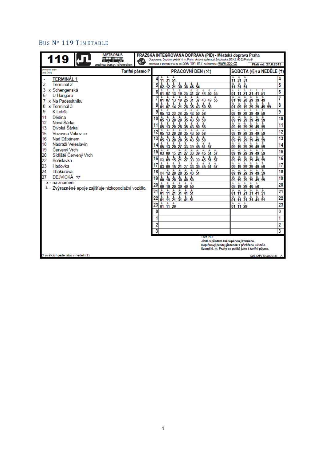## BUS Nº 119 TIMETABLE

| <b>METROBUS</b><br>119<br><b>TRACK</b><br>œ                                                                                                                                                                                                                                                                                                                                                                                                                                         | PRAŽSKÁ INTEGROVANÁ DOPRAVA (PID) - Městská doprava Praha<br>Dopravoe: Dopravní podnik hl. m. Prahy, akciová společnost, Sokolovská 217/42, 190 22 Praha 9<br>Informace o provozu PID na tel.: 296 191 817; na internetu : WWW.dpp.cz                                                                                                                                                                                                                                                                                                                                                                                                                                                                                                                                                                                                                                                                                                                                                                                                                                                                                                                                                                                                                                                                                                                                                                                                                                                                                                                                                                                                                                                                                 |                                                                                                                                                                                                                                                                                                                                                                                                                                                                                                                                                                                                                                                                                                                                                                                                                                                                                                                                                                                                                                                                                                                                                                                                                                                                                               |                                                                                                                                                 |
|-------------------------------------------------------------------------------------------------------------------------------------------------------------------------------------------------------------------------------------------------------------------------------------------------------------------------------------------------------------------------------------------------------------------------------------------------------------------------------------|-----------------------------------------------------------------------------------------------------------------------------------------------------------------------------------------------------------------------------------------------------------------------------------------------------------------------------------------------------------------------------------------------------------------------------------------------------------------------------------------------------------------------------------------------------------------------------------------------------------------------------------------------------------------------------------------------------------------------------------------------------------------------------------------------------------------------------------------------------------------------------------------------------------------------------------------------------------------------------------------------------------------------------------------------------------------------------------------------------------------------------------------------------------------------------------------------------------------------------------------------------------------------------------------------------------------------------------------------------------------------------------------------------------------------------------------------------------------------------------------------------------------------------------------------------------------------------------------------------------------------------------------------------------------------------------------------------------------------|-----------------------------------------------------------------------------------------------------------------------------------------------------------------------------------------------------------------------------------------------------------------------------------------------------------------------------------------------------------------------------------------------------------------------------------------------------------------------------------------------------------------------------------------------------------------------------------------------------------------------------------------------------------------------------------------------------------------------------------------------------------------------------------------------------------------------------------------------------------------------------------------------------------------------------------------------------------------------------------------------------------------------------------------------------------------------------------------------------------------------------------------------------------------------------------------------------------------------------------------------------------------------------------------------|-------------------------------------------------------------------------------------------------------------------------------------------------|
| změna trasy / diversion<br>prientační doba<br>Tarifní pásmo P<br>(Izdy (min)                                                                                                                                                                                                                                                                                                                                                                                                        | PRACOVNÍ DEN (*)                                                                                                                                                                                                                                                                                                                                                                                                                                                                                                                                                                                                                                                                                                                                                                                                                                                                                                                                                                                                                                                                                                                                                                                                                                                                                                                                                                                                                                                                                                                                                                                                                                                                                                      | Platí od: 27.8.2013                                                                                                                                                                                                                                                                                                                                                                                                                                                                                                                                                                                                                                                                                                                                                                                                                                                                                                                                                                                                                                                                                                                                                                                                                                                                           |                                                                                                                                                 |
| <b>TERMINÁL 1</b><br>Terminál 2<br>2<br>x Schengenská<br>U Hangáru<br>5<br>x Na Padesátníku<br>x Terminál 3<br>8<br>9<br>K Letišti<br>Dědina<br>11<br>Nová Šárka<br>12<br>Divoká Šárka<br>13<br>15<br>Vozovna Vokovice<br>16<br>Nad Džbánem<br>18<br>Nádraží Veleslavín<br>19<br>Červený Vrch<br>Sídliště Červený Vrch<br>20<br>22<br>Bořislavka<br>23<br>Hadovka<br>24<br>Thákurova<br>27<br>DEJVICKA w<br>x - na znamení<br>& - Zvýrazněné spoje zajišťuje nízkopodlažní vozidlo. | $\frac{1}{11}$ $\frac{1}{31}$ $\frac{1}{51}$<br>$\frac{1}{12}$ $\frac{3}{2}$ $\frac{5}{2}$ $\frac{1}{2}$ $\frac{3}{2}$ $\frac{5}{2}$ $\frac{1}{2}$ $\frac{5}{2}$ $\frac{1}{2}$ $\frac{1}{2}$ $\frac{1}{2}$ $\frac{1}{2}$ $\frac{1}{2}$ $\frac{5}{2}$ $\frac{5}{2}$ $\frac{1}{2}$ $\frac{1}{2}$ $\frac{1}{4}$ $\frac{1}{4}$ $\frac{1}{5}$ $\frac{5}{5}$<br>$\frac{1}{2}$<br>05 13 20 28 35 43 50 58<br>05 13 20 28 35 43 50 58<br>05 13 20 28 35 43 50 58<br>$\frac{1}{05}$ $\frac{1}{13}$ $\frac{1}{20}$ $\frac{1}{28}$ $\frac{1}{35}$ $\frac{1}{43}$ $\frac{1}{50}$ $\frac{1}{58}$<br>12<br>$\frac{1}{05}$ $\frac{1}{13}$ $\frac{1}{20}$ $\frac{1}{28}$ $\frac{1}{35}$ $\frac{1}{43}$ $\frac{1}{50}$ $\frac{1}{58}$<br>13<br>$\frac{1}{05}$ $\frac{1}{13}$ $\frac{1}{20}$ $\frac{1}{27}$ $\frac{1}{33}$ 39 $\frac{1}{45}$ $\frac{1}{51}$ $\frac{1}{57}$<br>1 1 1 1 1 1<br>Ł.<br>å.<br>å.<br>15<br>03 09 15 21 27 33 39 45 51 57<br>$\frac{1}{03}$ $\frac{1}{09}$ $\frac{1}{15}$ $\frac{1}{21}$ $\frac{1}{27}$ $\frac{1}{33}$ $\frac{39}{39}$ $\frac{45}{45}$ $\frac{51}{51}$ $\frac{1}{57}$<br>16<br>$\frac{1}{03}$ $\frac{1}{09}$ $\frac{1}{15}$ $\frac{1}{21}$ $\frac{1}{27}$ $\frac{1}{33}$ $\frac{1}{39}$ $\frac{1}{45}$ $\frac{1}{51}$ $\frac{1}{57}$<br>$04$ $\overline{12}$ $\overline{20}$ $\overline{28}$ $\overline{35}$ $\overline{43}$ $\overline{51}$<br>18<br><b><i>EEEE</i></b><br>a.,<br>19<br>00 10 20 30 40 50<br>医上皮<br>Ł.<br>Ł.<br>Ł.<br>20<br>00 10 20 30 40 50<br>$\frac{1}{01}$ $\frac{1}{11}$ $\frac{1}{21}$ $\frac{1}{31}$ $\frac{1}{41}$ $\frac{1}{51}$<br>21<br>22<br>$23\frac{1}{01} + \frac{1}{11} + \frac{1}{29}$<br>0<br>2<br>3<br>Tarif PID:<br>Jízda s předem zakoupenou jízdenkou. | SOBOTA (6) a NEDÉLE (†)<br>$\frac{1}{11}$ $\frac{1}{31}$ $\frac{1}{51}$<br>$\frac{1}{11}$ $\frac{1}{31}$ $\frac{1}{51}$<br>Æ.<br>Æ.<br>Æ.<br>÷.<br>÷.<br>å.<br>01 11 21 31 41 51<br>Ł.<br>å.<br>Ł.<br>Ł.<br>å.<br>01 10 20 29 39 49<br>$\frac{1}{10}$ $\frac{1}{19}$ $\frac{1}{29}$ $\frac{1}{39}$ $\frac{1}{49}$ $\frac{1}{59}$<br>å.<br>09 19 29 39 49 59<br><b>LLL</b><br>Æ.<br>09 19 29 39 49 59<br>Ł.<br>4. A.<br>Æ.<br>Ł.<br>09 19 29 39 49 59<br>$\frac{1}{09}$ $\frac{1}{19}$ $\frac{1}{29}$ $\frac{1}{39}$ $\frac{1}{49}$ $\frac{1}{59}$<br>$\frac{1}{09}$ $\frac{1}{19}$ $\frac{1}{29}$ $\frac{1}{39}$ $\frac{1}{49}$ $\frac{1}{59}$<br>å.<br>09 19 29 39 49 59<br>主主主<br>÷.<br>09 19 29 39 49 59<br>Ŧ.<br>Ł.<br>Ł.<br>Ł.<br>å.<br>09 19 29 39 49 59<br>÷.<br>Ł.<br>09 19 29 39 49 59<br>$\frac{1}{09}$ $\frac{1}{19}$ $\frac{1}{29}$ $\frac{1}{39}$ $\frac{1}{49}$ $\frac{1}{59}$<br>t t t<br>Æ.<br>09 19 29 39 49 59<br>$\frac{25}{19}$ $\frac{2}{19}$ $\frac{29}{29}$ $\frac{40}{10}$ $\frac{50}{11}$<br>01 11 21 31 41 51<br>$\frac{1}{01}$ $\frac{1}{11}$ $\frac{1}{21}$ $\frac{1}{31}$ $\frac{1}{41}$ $\frac{1}{51}$<br>$\frac{1}{01}$ $\frac{1}{11}$ $\frac{1}{29}$<br>Doplňkový prodej jízdenek s přirážkou u řidiče.<br>Území hl. m. Prahy se počítá jako 4 tarifní pásma. | 4<br>5<br>6<br>7<br>8<br>9<br>10<br>11<br>12<br>13<br>14<br>15<br>16<br>$\overline{17}$<br>18<br>19<br>20<br>21<br>22<br>23<br>0<br>1<br>2<br>3 |
| O svátcích jede jako v neděli (†).                                                                                                                                                                                                                                                                                                                                                                                                                                                  |                                                                                                                                                                                                                                                                                                                                                                                                                                                                                                                                                                                                                                                                                                                                                                                                                                                                                                                                                                                                                                                                                                                                                                                                                                                                                                                                                                                                                                                                                                                                                                                                                                                                                                                       | Soft. CHAPS spol. s r.o. A                                                                                                                                                                                                                                                                                                                                                                                                                                                                                                                                                                                                                                                                                                                                                                                                                                                                                                                                                                                                                                                                                                                                                                                                                                                                    |                                                                                                                                                 |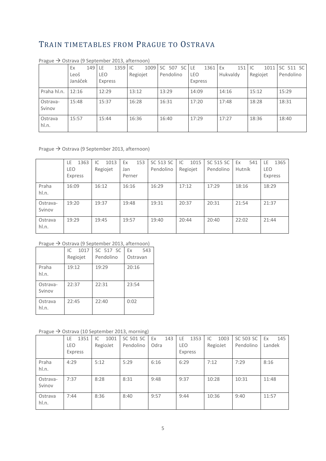## TRAIN TIMETABLES FROM PRAGUE TO OSTRAVA

|                    | Ex      | 149 LE |         | 1359 IC |          | 1009 | SC 507 |           | <b>SC</b> | <b>LE</b>  | $1361$ Ex |          | 151 | IC       | 1011 |       | SC 511 SC |
|--------------------|---------|--------|---------|---------|----------|------|--------|-----------|-----------|------------|-----------|----------|-----|----------|------|-------|-----------|
|                    | Leoš    |        | LEO     |         | Regiojet |      |        | Pendolino |           | <b>LEO</b> |           | Hukvaldy |     | Regiojet |      |       | Pendolino |
|                    | Janáček |        | Express |         |          |      |        |           |           | Express    |           |          |     |          |      |       |           |
| Praha hl.n.        | 12:16   |        | 12:29   |         | 13:12    |      | 13:29  |           |           | 14:09      |           | 14:16    |     | 15:12    |      | 15:29 |           |
| Ostrava-<br>Svinov | 15:48   |        | 15:37   |         | 16:28    |      | 16:31  |           |           | 17:20      |           | 17:48    |     | 18:28    |      | 18:31 |           |
| Ostrava<br>hl.n.   | 15:57   |        | 15:44   |         | 16:36    |      | 16:40  |           |           | 17:29      |           | 17:27    |     | 18:36    |      | 18:40 |           |

Prague → Ostrava (9 September 2013, afternoon)

#### Prague → Ostrava (9 September 2013, afternoon)

|                    | 1363<br>LE<br><b>LEO</b><br>Express | 1013<br>IC<br>Regiojet | 153<br>Ex<br>Jan<br>Perner | SC 513 SC<br>Pendolino | 1015<br>IC<br>Regiojet | SC 515 SC<br>Pendolino | 541<br>Ex<br>Hutník | 1365<br>LE<br><b>LEO</b><br>Express |
|--------------------|-------------------------------------|------------------------|----------------------------|------------------------|------------------------|------------------------|---------------------|-------------------------------------|
| Praha<br>hl.n.     | 16:09                               | 16:12                  | 16:16                      | 16:29                  | 17:12                  | 17:29                  | 18:16               | 18:29                               |
| Ostrava-<br>Svinov | 19:20                               | 19:37                  | 19:48                      | 19:31                  | 20:37                  | 20:31                  | 21:54               | 21:37                               |
| Ostrava<br>hl.n.   | 19:29                               | 19:45                  | 19:57                      | 19:40                  | 20:44                  | 20:40                  | 22:02               | 21:44                               |

#### Prague → Ostrava (9 September 2013, afternoon)

|                    | 1017<br>IC<br>Regiojet | SC 517 SC<br>Pendolino | Ex<br>543<br>Ostravan |
|--------------------|------------------------|------------------------|-----------------------|
| Praha<br>hl.n.     | 19:12                  | 19:29                  | 20:16                 |
| Ostrava-<br>Svinov | 22:37                  | 22:31                  | 23:54                 |
| Ostrava<br>hl.n.   | 22:45                  | 22:40                  | 0:02                  |

#### Prague  $\rightarrow$  Ostrava (10 September 2013, morning)

| . . <i>. .</i>     |             |            |           |           |            |            |           |           |
|--------------------|-------------|------------|-----------|-----------|------------|------------|-----------|-----------|
|                    | 1351<br>LE. | 1001<br>IC | SC 501 SC | 143<br>Ex | 1353<br>LE | 1003<br>IC | SC 503 SC | 145<br>Ex |
|                    | <b>LEO</b>  | RegioJet   | Pendolino | Odra      | <b>LEO</b> | RegioJet   | Pendolino | Landek    |
|                    | Express     |            |           |           | Express    |            |           |           |
| Praha<br>hl.n.     | 4:29        | 5:12       | 5:29      | 6:16      | 6:29       | 7:12       | 7:29      | 8:16      |
| Ostrava-<br>Svinov | 7:37        | 8:28       | 8:31      | 9:48      | 9:37       | 10:28      | 10:31     | 11:48     |
| Ostrava<br>hl.n.   | 7:44        | 8:36       | 8:40      | 9:57      | 9:44       | 10:36      | 9:40      | 11:57     |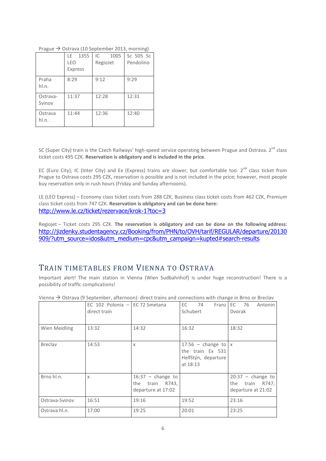| $\cdots$            |                                      |                        | ັ                      |
|---------------------|--------------------------------------|------------------------|------------------------|
|                     | 1355<br>LE.<br>LEO<br><b>Express</b> | 1005<br>IC<br>RegioJet | Sc 505 Sc<br>Pendolino |
| Praha<br>hl.n.      | 8:29                                 | 9:12                   | 9:29                   |
| Ostrava-<br>Svinov  | 11:37                                | 12:28                  | 12:31                  |
| Ostrava<br>$h$ l.n. | 11:44                                | 12:36                  | 12:40                  |

Prague  $\rightarrow$  Ostrava (10 September 2013, morning)

SC (Super City) train is the Czech Railways' high-speed service operating between Prague and Ostrava. 2<sup>nd</sup> class ticket costs 495 CZK. **Reservation is obligatory and is included in the price**.

EC (Euro City), IC (Inter City) and Ex (Express) trains are slower, but comfortable too. 2<sup>nd</sup> class ticket from Prague to Ostrava costs 295 CZK, reservation is possible and is not included in the price; however, most people buy reservation only in rush hours (Friday and Sunday afternoons).

LE (LEO Express) – Economy class ticket costs from 288 CZK, Business class ticket costs from 462 CZK, Premium class ticket costs from 747 CZK. **Reservation is obligatory and can be done here:** <http://www.le.cz/ticket/rezervace/krok-1?toc=3>

Regiojet – Ticket costs 295 CZK. **The reservation is obligatory and can be done on the following address:** [http://jizdenky.studentagency.cz/Booking/from/PHN/to/OVH/tarif/REGULAR/departure/20130](http://jizdenky.studentagency.cz/Booking/from/PHN/to/OVH/tarif/REGULAR/departure/20130909/?utm_source=idos&utm_medium=cpc&utm_campaign=kupted%23search-results%20%0e) [909/?utm\\_source=idos&utm\\_medium=cpc&utm\\_campaign=kupted#search-results](http://jizdenky.studentagency.cz/Booking/from/PHN/to/OVH/tarif/REGULAR/departure/20130909/?utm_source=idos&utm_medium=cpc&utm_campaign=kupted%23search-results%20%0e)

## TRAIN TIMETABLES FROM VIENNA TO OSTRAVA

Important alert! The main station in Vienna (Wien Sudbahnhof) is under huge reconstruction! There is a possibility of traffic complications!

|                | EC 102 Polonia $-$ EC 72 Smetana<br>direct train |                                                                 | EC 74<br>Franz<br>Schubert                                                   | EC 76<br>Antonin<br>Dvorak                                         |
|----------------|--------------------------------------------------|-----------------------------------------------------------------|------------------------------------------------------------------------------|--------------------------------------------------------------------|
| Wien Meidling  | 13:32                                            | 14:32                                                           | 16:32                                                                        | 18:32                                                              |
| <b>Breclav</b> | 14:53                                            | $\mathsf{X}$                                                    | 17:56 - change to $x$<br>the train Ex 531<br>Helfštýn, departure<br>at 18:13 |                                                                    |
| Brno hl.n.     | $\chi$                                           | $16:37$ - change to<br>the<br>train R743,<br>departure at 17:02 |                                                                              | $20:37$ - change to<br>the<br>train<br>R747,<br>departure at 21:02 |
| Ostrava-Svinov | 16:51                                            | 19:16                                                           | 19:52                                                                        | 23:16                                                              |
| Ostrava hl.n.  | 17:00                                            | 19:25                                                           | 20:01                                                                        | 23:25                                                              |

Vienna  $\rightarrow$  Ostrava (9 September, afternoon): direct trains and connections with change in Brno or Breclav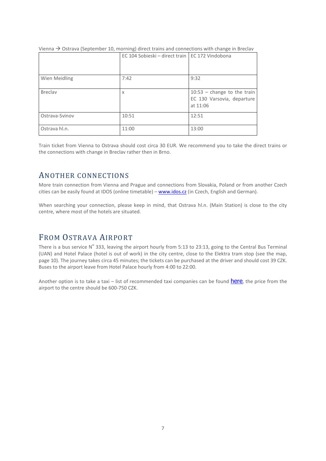|                | EC 104 Sobieski – direct train   EC 172 Vindobona |                               |
|----------------|---------------------------------------------------|-------------------------------|
|                |                                                   |                               |
| Wien Meidling  | 7:42                                              | 9:32                          |
| <b>Breclav</b> | X                                                 | $10:53$ - change to the train |
|                |                                                   | EC 130 Varsovia, departure    |
|                |                                                   | at 11:06                      |
| Ostrava-Svinov | 10:51                                             | 12:51                         |
| Ostrava hl.n.  | 11:00                                             | 13:00                         |

Vienna  $\rightarrow$  Ostrava (September 10, morning) direct trains and connections with change in Breclav

Train ticket from Vienna to Ostrava should cost circa 30 EUR. We recommend you to take the direct trains or the connections with change in Breclav rather then in Brno.

## ANOTHER CONNECTIONS

More train connection from Vienna and Prague and connections from Slovakia, Poland or from another Czech cities can be easily found at IDOS (online timetable) – [www.idos.cz](http://www.idos.cz/) (in Czech, English and German).

When searching your connection, please keep in mind, that Ostrava hl.n. (Main Station) is close to the city centre, where most of the hotels are situated.

## FROM OSTRAVA AIRPORT

There is a bus service  $N^{\circ}$  333, leaving the airport hourly from 5:13 to 23:13, going to the Central Bus Terminal (UAN) and Hotel Palace (hotel is out of work) in the city centre, close to the Elektra tram stop (see the map, page 10). The journey takes circa 45 minutes; the tickets can be purchased at the driver and should cost 39 CZK. Buses to the airport leave from Hotel Palace hourly from 4:00 to 22:00.

Another option is to take a taxi – list of recommended taxi companies can be found [here](http://www.airport-ostrava.cz/en/page-taxi-ag/), the price from the airport to the centre should be 600-750 CZK.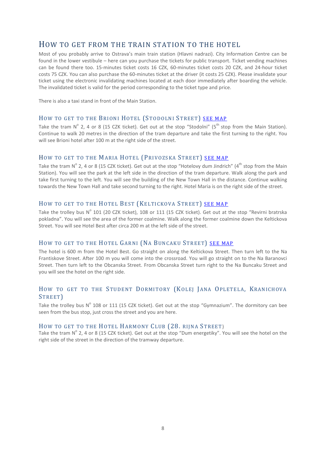## HOW TO GET FROM THE TRAIN STATION TO THE HOTEL

Most of you probably arrive to Ostrava's main train station (Hlavni nadrazi). City Information Centre can be found in the lower vestibule – here can you purchase the tickets for public transport. Ticket vending machines can be found there too. 15-minutes ticket costs 16 CZK, 60-minutes ticket costs 20 CZK, and 24-hour ticket costs 75 CZK. You can also purchase the 60-minutes ticket at the driver (it costs 25 CZK). Please invalidate your ticket using the electronic invalidating machines located at each door immediately after boarding the vehicle. The invalidated ticket is valid for the period corresponding to the ticket type and price.

There is also a taxi stand in front of the Main Station.

#### HOW TO GET TO THE BRIONI HOTEL (STODOLNI STREET) [SEE MAP](http://goo.gl/maps/aQelo)

Take the tram  $N^{\circ}$  2, 4 or 8 (15 CZK ticket). Get out at the stop "Stodolni" (5<sup>th</sup> stop from the Main Station). Continue to walk 20 metres in the direction of the tram departure and take the first turning to the right. You will see Brioni hotel after 100 m at the right side of the street.

#### HOW TO GET TO THE MARIA HOTEL (PRIVOZSKA STREET) [SEE MAP](http://goo.gl/maps/NUVVW)

Take the tram  $N^{\circ}$  2, 4 or 8 (15 CZK ticket). Get out at the stop "Hotelovy dum Jindrich" (4<sup>th</sup> stop from the Main Station). You will see the park at the left side in the direction of the tram departure. Walk along the park and take first turning to the left. You will see the building of the New Town Hall in the distance. Continue walking towards the New Town Hall and take second turning to the right. Hotel Maria is on the right side of the street.

#### HOW TO GET TO THE HOTEL BEST (KELTICKOVA STREET) [SEE MAP](http://goo.gl/maps/gfSGK)

Take the trolley bus  $N^{\circ}$  101 (20 CZK ticket), 108 or 111 (15 CZK ticket). Get out at the stop "Revirni bratrska pokladna". You will see the area of the former coalmine. Walk along the former coalmine down the Keltickova Street. You will see Hotel Best after circa 200 m at the left side of the street.

#### HOW TO GET TO THE HOTEL GARNI (NA BUNCAKU STREET) [SEE MAP](http://goo.gl/maps/NDfzl)

The hotel is 600 m from the Hotel Best. Go straight on along the Keltickova Street. Then turn left to the Na Frantiskove Street. After 100 m you will come into the crossroad. You will go straight on to the Na Baranovci Street. Then turn left to the Obcanska Street. From Obcanska Street turn right to the Na Buncaku Street and you will see the hotel on the right side.

#### HOW TO GET TO THE STUDENT DORMITORY (KOLEJ JANA OPLETELA, KRANICHOVA STREET)

Take the trolley bus  $N^{\circ}$  108 or 111 (15 CZK ticket). Get out at the stop "Gymnazium". The dormitory can bee seen from the bus stop, just cross the street and you are here.

#### HOW TO GET TO THE HOTEL HARMONY CLUB (28. RIJNA STREET)

Take the tram  $N^{\circ}$  2, 4 or 8 (15 CZK ticket). Get out at the stop "Dum energetiky". You will see the hotel on the right side of the street in the direction of the tramway departure.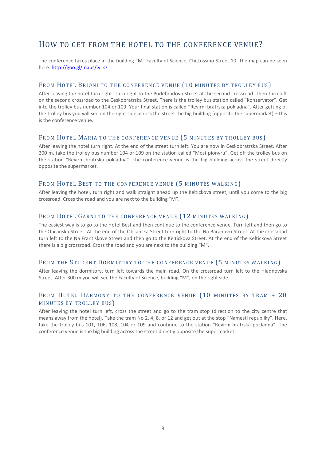## HOW TO GET FROM THE HOTEL TO THE CONFERENCE VENUE?

The conference takes place in the building "M" Faculty of Science, Chittussiho Street 10. The map can be seen here[: http://goo.gl/maps/Iy1sz](http://goo.gl/maps/Iy1sz)

#### FROM HOTEL BRIONI TO THE CONFERENCE VENUE (10 MINUTES BY TROLLEY BUS)

After leaving the hotel turn right. Turn right to the Podebradova Street at the second crossroad. Then turn left on the second crossroad to the Ceskobratrska Street. There is the trolley bus station called "Konzervator". Get into the trolley bus number 104 or 109. Your final station is called "Revirni bratrska pokladna". After getting of the trolley bus you will see on the right side across the street the big building (opposite the supermarket) – this is the conference venue.

#### FROM HOTEL MARIA TO THE CONFERENCE VENUE (5 MINUTES BY TROLLEY BUS)

After leaving the hotel turn right. At the end of the street turn left. You are now in Ceskobratrska Street. After 200 m, take the trolley bus number 104 or 109 on the station called "Most pionyru". Get off the trolley bus on the station "Revirni bratrska pokladna". The conference venue is the big building across the street directly opposite the supermarket.

#### FROM HOTEL BEST TO THE CONFERENCE VENUE (5 MINUTES WALKING)

After leaving the hotel, turn right and walk straight ahead up the Keltickova street, until you come to the big crossroad. Cross the road and you are next to the building "M".

#### FROM HOTEL GARNI TO THE CONFERENCE VENUE (12 MINUTES WALKING)

The easiest way is to go to the Hotel Best and then continue to the conference venue. Turn left and then go to the Obcanska Street. At the end of the Obcanska Street turn right to the Na Baranovci Street. At the crossroad turn left to the Na Frantiskove Street and then go to the Keltickova Street. At the end of the Keltickova Street there is a big crossroad. Cross the road and you are next to the building "M".

#### FROM THE STUDENT DORMITORY TO THE CONFERENCE VENUE (5 MINUTES WALKING)

After leaving the dormitory, turn left towards the main road. On the crossroad turn left to the Hladnovska Street. After 300 m you will see the Faculty of Science, building "M", on the right side.

#### FROM HOTEL HARMONY TO THE CONFERENCE VENUE (10 MINUTES BY TRAM + 20 MINUTES BY TROLLEY BUS)

After leaving the hotel turn left, cross the street and go to the tram stop (direction to the city centre that means away from the hotel). Take the tram No 2, 4, 8, or 12 and get out at the stop "Namesti republiky". Here, take the trolley bus 101, 106, 108, 104 or 109 and continue to the station "Revirni bratrska pokladna". The conference venue is the big building across the street directly opposite the supermarket.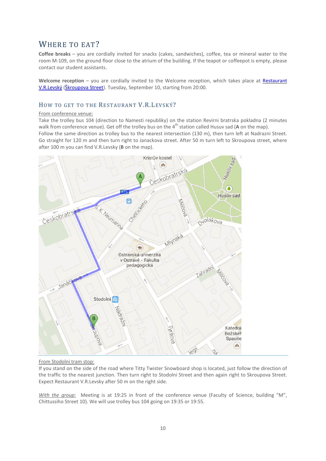## WHERE TO EAT?

**Coffee breaks** – you are cordially invited for snacks (cakes, sandwiches), coffee, tea or mineral water to the room M-109, on the ground floor close to the atrium of the building. If the teapot or coffeepot is empty, please contact our student assistants.

**Welcome reception** – you are cordially invited to the Welcome reception, which takes place at [Restaurant](http://www.levsky.cz/)  [V.R.Levský](http://www.levsky.cz/) [\(Škroupova Street\)](http://goo.gl/maps/3WHm3). Tuesday, September 10, starting from 20:00.

#### HOW TO GET TO THE RESTAURANT V.R.LEVSKÝ?

#### From conference venue:

Take the trolley bus 104 (direction to Namesti republiky) on the station Revirni bratrska pokladna (2 minutes walk from conference venue). Get off the trolley bus on the 4<sup>th</sup> station called Husuv sad (A on the map).

Follow the same direction as trolley bus to the nearest intersection (130 m), then turn left at Nadrazni Street. Go straight for 120 m and then turn right to Janackova street. After 50 m turn left to Skroupova street, where after 100 m you can find V.R.Levsky (**B** on the map).



#### From Stodolni tram stop:

If you stand on the side of the road where Titty Twister Snowboard shop is located, just follow the direction of the traffic to the nearest junction. Then turn right to Stodolni Street and then again right to Skroupova Street. Expect Restaurant V.R.Levsky after 50 m on the right side.

*With the group:* Meeting is at 19:25 in front of the conference venue (Faculty of Science, building "M", Chittussiho Street 10). We will use trolley bus 104 going on 19:35 or 19:55.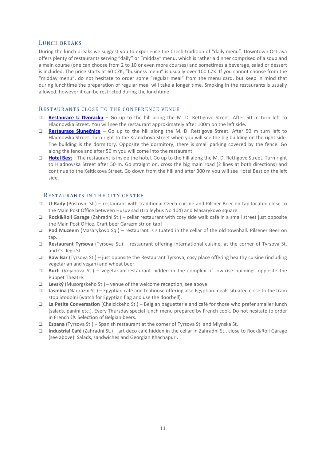#### LUNCH BREAKS

During the lunch breaks we suggest you to experience the Czech tradition of "daily menu". Downtown Ostrava offers plenty of restaurants serving "daily" or "midday" menu, which is rather a dinner comprised of a soup and a main course (one can choose from 2 to 10 or even more courses) and sometimes a beverage, salad or dessert is included. The price starts at 60 CZK, "business menu" is usually over 100 CZK. If you cannot choose from the "midday menu", do not hesitate to order some "regular meal" from the menu card, but keep in mind that during lunchtime the preparation of regular meal will take a longer time. Smoking in the restaurants is usually allowed, however it can be restricted during the lunchtime.

#### RESTAURANTS CLOSE TO THE CONFERENCE VENUE

- **[Restaurace U Dvoracku](http://goo.gl/maps/Zkgiv)** Go up to the hill along the M. D. Rettigove Street. After 50 m turn left to Hladnovska Street. You will see the restaurant approximately after 100m on the left side.
- **[Restaurace](http://goo.gl/maps/Tk7an) Slunečnice** Go up to the hill along the M. D. Rettigove Street. After 50 m turn left to Hladnovska Street. Turn right to the Kranichova Street when you will see the big building on the right side. The building is the dormitory. Opposite the dormitory, there is small parking covered by the fence. Go along the fence and after 50 m you will come into the restaurant.
- **[Hotel Best](http://goo.gl/maps/sCKp6)** The restaurant is inside the hotel. Go up to the hill along the M. D. Rettigove Street. Turn right to Hladnovska Street after 50 m. Go straight on, cross the big main road (2 lines at both directions) and continue to the Keltickova Street. Go down from the hill and after 300 m you will see Hotel Best on the left side.

#### RESTAURANTS IN THE CITY CENTRE

- **U Rady** (Postovni St.) restaurant with traditional Czech cuisine and Pilsner Beer on tap located close to the Main Post Office between Husuv sad (trolleybus No 104) and Masarykovo square.
- **Rock&Roll Garage** (Zahradni St.) cellar restaurant with cosy side walk café in a small street just opposite the Main Post Office. Craft beer Garazmistr on tap!
- **Pod Muzeem** (Masarykovo Sq.) restaurant is situated in the cellar of the old townhall. Pilsener Beer on tap.
- **Restaurant Tyrsova** (Tyrsova St.) restaurant offering international cuisine, at the corner of Tyrsova St. and Cs. legii St.
- **Raw Bar** (Tyrsova St.) just opposite the Restaurant Tyrsova, cosy place offering healthy cuisine (including vegetarian and vegan) and wheat beer.
- **Burfi** (Vojanova St.) vegetarian restaurant hidden in the complex of low-rise buildings opposite the Puppet Theatre.
- **Levský** (Musorgskeho St.) venue of the welcome reception, see above.
- **Jasmina** (Nadrazni St.) Egyptian café and teahouse offering also Egyptian meals situated close to the tram stop Stodolni (watch for Egyptian flag and use the doorbell).
- **La Petite Conversation** (Chelcickeho St.) Belgian baguetterie and café for those who prefer smaller lunch (salads, panini etc.). Every Thursday special lunch menu prepared by French cook. Do not hesitate to order in French  $\odot$ . Selection of Belgian beers.
- **Espana** (Tyrsova St.) Spanish restaurant at the corner of Tyrsova St. and Mlynska St.
- **Industrial Café** (Zahradní St.) art deco café hidden in the cellar in Zahradni St., close to Rock&Roll Garage (see above). Salads, sandwiches and Georgian Khachapuri.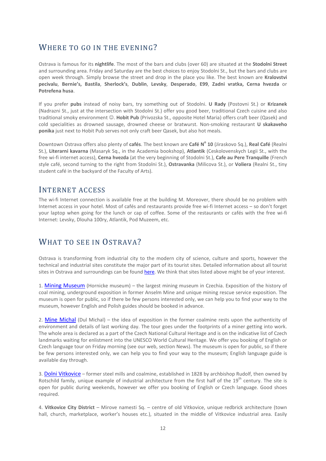## WHERE TO GO IN THE EVENING?

Ostrava is famous for its **nightlife**. The most of the bars and clubs (over 60) are situated at the **Stodolni Street** and surrounding area. Friday and Saturday are the best choices to enjoy Stodolni St., but the bars and clubs are open week through. Simply browse the street and drop in the place you like. The best known are **Kralovstvi pecivalu**, **Bernie's, Bastila**, **Sherlock's**, **Dublin**, **Levsky**, **Desperado**, **E99**, **Zadni vratka, Cerna hvezda** or **Potrefena husa**.

If you prefer **pubs** instead of noisy bars, try something out of Stodolni. **U Rady** (Postovni St.) or **Krizanek** (Nadrazni St., just at the intersection with Stodolni St.) offer you good beer, traditional Czech cuisine and also traditional smoky environment  $\odot$ . Hobit Pub (Privozska St., opposite Hotel Maria) offers craft beer (Qasek) and cold specialities as drowned sausage, drowned cheese or bratwurst. Non-smoking restaurant **U skakaveho ponika** just next to Hobit Pub serves not only craft beer Qasek, but also hot meals.

Downtown Ostrava offers also plenty of **cafés**. The best known are **Café N<sup>o</sup> 10** (Jiraskovo Sq.), **Real Café** (Realni St.), **Literarni kavarna** (Masaryk Sq., in the Academia bookshop), **Atlantik** (Ceskolovenskych Legii St., with the free wi-fi internet access), **Cerna hvezda** (at the very beginning of Stodolni St.), **Cafe au Pere Tranquille** (French style café, second turning to the right from Stodolni St.), **Ostravanka** (Milicova St.), or **Voliera** (Realni St., tiny student café in the backyard of the Faculty of Arts).

## INTERNET ACCESS

The wi-fi Internet connection is available free at the building M. Moreover, there should be no problem with Internet access in your hotel. Most of cafés and restaurants provide free wi-fi Internet access – so don't forget your laptop when going for the lunch or cap of coffee. Some of the restaurants or cafés with the free wi-fi Internet: Levsky, Dlouha 100ry, Atlantik, Pod Muzeem, etc.

## WHAT TO SEE IN OSTRAVA?

Ostrava is transforming from industrial city to the modern city of science, culture and sports, however the technical and industrial sites constitute the major part of its tourist sites. Detailed information about all tourist sites in Ostrava and surroundings can be foun[d here.](http://www.ostrava.cz/jahia/Jahia/site/ostrava/lang/en/ostrava/turista/turisticke-atraktivity) We think that sites listed above might be of your interest.

1. [Mining Museum](http://www.muzeumokd.cz/en/) (Hornicke museum) – the largest mining museum in Czechia. Exposition of the history of coal mining, underground exposition in former Anselm Mine and unique mining rescue service exposition. The museum is open for public, so if there be few persons interested only, we can help you to find your way to the museum, however English and Polish guides should be booked in advance.

2. [Mine Michal](http://www.dul-michal.cz/en/) (Dul Michal) – the idea of exposition in the former coalmine rests upon the authenticity of environment and details of last working day. The tour goes under the footprints of a miner getting into work. The whole area is declared as a part of the Czech National Cultural Heritage and is on the indicative list of Czech landmarks waiting for enlistment into the UNESCO World Cultural Heritage. We offer you booking of English or Czech language tour on Friday morning (see our web, section News). The museum is open for public, so if there be few persons interested only, we can help you to find your way to the museum; English language guide is available day through.

3. [Dolni Vitkovice](http://www.ostravainfo.cz/zarizeni_detail.php?id=861&menu=1&lang=2) - former steel mills and coalmine, established in 1828 by archbishop Rudolf, then owned by Rotschild family, unique example of industrial architecture from the first half of the 19<sup>th</sup> century. The site is open for public during weekends, however we offer you booking of English or Czech language. Good shoes required.

4. **Vitkovice City District** – Mirove namesti Sq. – centre of old Vitkovice, unique redbrick architecture (town hall, church, marketplace, worker's houses etc.), situated in the middle of Vitkovice industrial area. Easily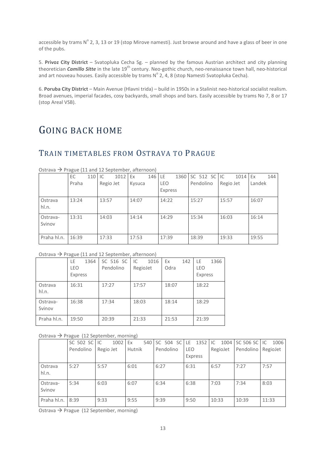accessible by trams  $N^{\circ}$  2, 3, 13 or 19 (stop Mirove namesti). Just browse around and have a glass of beer in one of the pubs.

5. **Privoz City District** – Svatopluka Cecha Sg. – planned by the famous Austrian architect and city planning theoretician *Camillo Sitte* in the late 19th century. Neo-gothic church, neo-renaissance town hall, neo-historical and art nouveau houses. Easily accessible by trams  $N^{\circ}$  2, 4, 8 (stop Namesti Svatopluka Cecha).

6. **Poruba City District** – Main Avenue (Hlavni trida) – build in 1950s in a Stalinist neo-historical socialist realism. Broad avenues, imperial facades, cosy backyards, small shops and bars. Easily accessible by trams No 7, 8 or 17 (stop Areal VSB).

## GOING BACK HOME

## TRAIN TIMETABLES FROM OSTRAVA TO PRAGUE

|             | $\tilde{}$ |     |           |      |        |        |         |                   |           |         |        |     |
|-------------|------------|-----|-----------|------|--------|--------|---------|-------------------|-----------|---------|--------|-----|
|             | EC         | 110 | IC        | 1012 | Ex     | 146 LE |         | 1360 SC 512 SC IC |           | 1014 Ex |        | 144 |
|             | Praha      |     | Regio Jet |      | Kysuca |        | LEO     | Pendolino         | Regio Jet |         | Landek |     |
|             |            |     |           |      |        |        | Express |                   |           |         |        |     |
| Ostrava     | 13:24      |     | 13:57     |      | 14:07  |        | 14:22   | 15:27             | 15:57     |         | 16:07  |     |
| hl.n.       |            |     |           |      |        |        |         |                   |           |         |        |     |
| Ostrava-    | 13:31      |     | 14:03     |      | 14:14  |        | 14:29   | 15:34             | 16:03     |         | 16:14  |     |
| Svinov      |            |     |           |      |        |        |         |                   |           |         |        |     |
|             |            |     |           |      |        |        |         |                   |           |         |        |     |
| Praha hl.n. | 16:39      |     | 17:33     |      | 17:53  |        | 17:39   | 18:39             | 19:33     |         | 19:55  |     |

Ostrava  $\rightarrow$  Prague (11 and 12 September, afternoon)

#### Ostrava  $\rightarrow$  Prague (11 and 12 September, afternoon)

|                    | $\tilde{}$                          |                        |                        |                   |                              |
|--------------------|-------------------------------------|------------------------|------------------------|-------------------|------------------------------|
|                    | LE<br>1364<br><b>LEO</b><br>Express | SC 516 SC<br>Pendolino | IC<br>1016<br>RegioJet | Ex<br>142<br>Odra | LE<br>1366<br>LEO<br>Express |
| Ostrava<br>hl.n.   | 16:31                               | 17:27                  | 17:57                  | 18:07             | 18:22                        |
| Ostrava-<br>Svinov | 16:38                               | 17:34                  | 18:03                  | 18:14             | 18:29                        |
| Praha hl.n.        | 19:50                               | 20:39                  | 21:33                  | 21:53             | 21:39                        |

#### Ostrava  $\rightarrow$  Prague (12 September, morning)

|                    | SC 502 SC | 1002<br>IC | Ex     | 540 SC 504 SC | 1352 IC<br>LE.        |          | 1004 SC 506 SC IC    | 1006  |
|--------------------|-----------|------------|--------|---------------|-----------------------|----------|----------------------|-------|
|                    | Pendolino | Regio Jet  | Hutnik | Pendolino     | <b>LEO</b><br>Express | RegioJet | Pendolino   RegioJet |       |
| Ostrava<br>hl.n.   | 5:27      | 5:57       | 6:01   | 6:27          | 6:31                  | 6:57     | 7:27                 | 7:57  |
| Ostrava-<br>Svinov | 5:34      | 6:03       | 6:07   | 6:34          | 6:38                  | 7:03     | 7:34                 | 8:03  |
| Praha hl.n.        | 8:39      | 9:33       | 9:55   | 9:39          | 9:50                  | 10:33    | 10:39                | 11:33 |

Ostrava  $\rightarrow$  Prague (12 September, morning)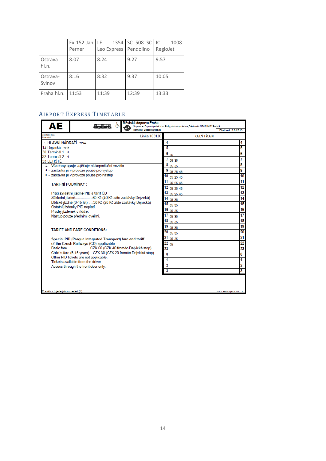|                    | Ex $152$ Jan LE<br>Perner | Leo Express Pendolino | 1354 SC 508 SC IC | 1008<br>RegioJet |
|--------------------|---------------------------|-----------------------|-------------------|------------------|
|                    |                           |                       |                   |                  |
| Ostrava<br>hl.n.   | 8:07                      | 8:24                  | 9:27              | 9:57             |
| Ostrava-<br>Svinov | 8:16                      | 8:32                  | 9:37              | 10:05            |
| Praha hl.n.        | 11:53                     | 11:39                 | 12:39             | 13:33            |

### AIRPORT EXPRESS TIMETABLE

| AЕ                                 |                                                                 | Informace: Dispecink@dpp.cz |                | Dopravce: Dopravní podnik hl. m. Prahy, akciová společnost, Sokolovská 217/42, 190 22 Praha 9 | Plati od: 9.6.2013       |
|------------------------------------|-----------------------------------------------------------------|-----------------------------|----------------|-----------------------------------------------------------------------------------------------|--------------------------|
| orienteční doba<br>(Izdy (min)     |                                                                 | Linka 103120                |                | <b>CELÝ TÝDEN</b>                                                                             |                          |
| • HLAVNÍ NÁDRAŽÍ VE                |                                                                 |                             |                |                                                                                               | 4                        |
| 12 Dejvická vz                     |                                                                 |                             |                |                                                                                               | 5                        |
| 30 Terminál 1 (                    |                                                                 |                             | 6              |                                                                                               | 6                        |
| 32 Terminál 2 (                    |                                                                 |                             | 35             |                                                                                               | 7                        |
| 33 LETIŠTĚ                         |                                                                 |                             | 05 35          |                                                                                               |                          |
|                                    | & - Všechny spoje zajišťuje nízkopodlažní vozidlo.              |                             | 05 35          |                                                                                               | 8                        |
|                                    | ● - zastávka je v provozu pouze pro výstup                      |                             | 05 25 45       |                                                                                               | 9                        |
|                                    | · zastávka je v provozu pouze pro nástup                        |                             | 05 25 45       |                                                                                               | 10                       |
| <b>TARIFNÍ PODMÍNKY:</b>           |                                                                 |                             | 05 25 45       |                                                                                               | 11                       |
|                                    |                                                                 |                             | 05 25 45       |                                                                                               | 12                       |
|                                    | Platí zvláštní jízdné PID a tarif ČD                            |                             | 13<br>05 25 45 |                                                                                               | 13                       |
|                                    |                                                                 |                             | 14             |                                                                                               | 14                       |
|                                    | Dětské jízdné (6-15 let) 30 Kč (20 Kč z/do zastávky Dejvická)   |                             | 05 35<br>15    |                                                                                               | 15                       |
|                                    | Ostatní jízdenky PID neplatí.                                   |                             | 05 35          |                                                                                               |                          |
|                                    | Prodej jízdenek u řídiče.                                       |                             | 16<br>05 35    |                                                                                               | 16                       |
|                                    | Nástup pouze předními dveřmi.                                   |                             | 05 35          |                                                                                               | 17                       |
|                                    |                                                                 |                             | 18<br>05 35    |                                                                                               | 18                       |
|                                    |                                                                 |                             | 19<br>05 35    |                                                                                               | 19                       |
|                                    | <b>TARIFF AND FARE CONDITIONS:</b>                              |                             | 20<br>05 35    |                                                                                               | 20                       |
|                                    | Special PID (Praque Integrated Transport) fare and tariff       |                             | 21<br>05 35    |                                                                                               | 21                       |
|                                    | of the Czech Railways (CD) applicable                           |                             | 22<br>05       |                                                                                               | 22                       |
|                                    |                                                                 |                             | 23             |                                                                                               | 23                       |
|                                    | Child's fare (6-15 years) CZK 30 (CZK 20 from/to Dejvická stop) |                             | 0              |                                                                                               | 0                        |
|                                    | Other PID tickets are not applicable.                           |                             |                |                                                                                               |                          |
|                                    | Tickets available from the driver.                              |                             |                |                                                                                               | 1                        |
|                                    | Access through the front door only.                             |                             | 2              |                                                                                               | 2                        |
|                                    |                                                                 |                             |                |                                                                                               | 3                        |
| O svátcích jede jako v neděli (†). |                                                                 |                             |                |                                                                                               | Soft. CHAPS spol. s r.o. |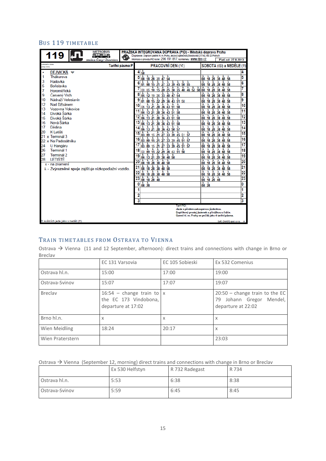## BUS 119 TIMETABLE

| <b>METROBUS</b><br>119 11<br>w                        | PRAŽSKÁ INTEGROVANÁ DOPRAVA (PID) - Městská doprava Praha<br>Dopravce: Dopravní podnik hl. m. Prahy, akciová společnost Sokolovská 217/42,190 22 Praha 9                                                                                                                                                                                                                                                                                                                                          |                                                                                                                               |    |
|-------------------------------------------------------|---------------------------------------------------------------------------------------------------------------------------------------------------------------------------------------------------------------------------------------------------------------------------------------------------------------------------------------------------------------------------------------------------------------------------------------------------------------------------------------------------|-------------------------------------------------------------------------------------------------------------------------------|----|
| změna trasy / diversion<br>prientační doba            | Informace o provozu PID na tel.: 296 191 817: na internetu : WWW.dDD.CZ                                                                                                                                                                                                                                                                                                                                                                                                                           | Platí od: 27.8.2013                                                                                                           |    |
| Tarifní pásmo P<br>(Ledy (min)                        | PRACOVNI DEN (*)                                                                                                                                                                                                                                                                                                                                                                                                                                                                                  | SOBOTA (6) a NEDELE (†)                                                                                                       |    |
| DEJVICKÁ V                                            | $4\frac{1}{58}$                                                                                                                                                                                                                                                                                                                                                                                                                                                                                   |                                                                                                                               | 4  |
| Thákurova                                             | ÷.<br>Ł.<br>÷.<br>5                                                                                                                                                                                                                                                                                                                                                                                                                                                                               | Ł.<br>å.<br>08 18 28 38 48 58                                                                                                 | 5  |
| 3<br>Hadovka<br>5<br>Bořislavka                       | à.<br>÷.<br>01 08 15 21 27 33 39 45 50 55                                                                                                                                                                                                                                                                                                                                                                                                                                                         | Ŧ.<br>Æ.<br>Ł.<br>Ł.<br>08 18 28 38 48 58                                                                                     | 6  |
| 7<br>Horoměřická                                      | 00 05 10 15 20 25 30 35 40 46 52 58                                                                                                                                                                                                                                                                                                                                                                                                                                                               | $11111$<br>08 18 28 38 48 58                                                                                                  | 7  |
| 9<br>Červený Vrch                                     | <u>စိုး ဒိုး 19 26 နဲ့ဒီ နို့0 နို7 နိုန</u>                                                                                                                                                                                                                                                                                                                                                                                                                                                      | $\frac{1}{08}$ $\frac{1}{18}$ $\frac{1}{28}$ $\frac{1}{38}$ $\frac{1}{48}$ $\frac{1}{58}$                                     | 8  |
| 10<br>Nádraží Veleslavín                              |                                                                                                                                                                                                                                                                                                                                                                                                                                                                                                   | <b>L L L L L</b><br>Æ.<br>08 18 28 38 48 58                                                                                   | 9  |
| 12<br>Nad Džbánem                                     | 01 08 15 22 29 36 43 51 58<br>06 13 21 28 36 43 51 58                                                                                                                                                                                                                                                                                                                                                                                                                                             | Ł.<br>Ł.<br>Ł.<br>å.<br>08 18 28 38 48 58                                                                                     | 10 |
| 13<br>Vozovna Vokovice                                | Ł.<br>Æ.<br>Ł.<br>Ł.<br>å.<br>06 13 21 28 36 43 51 58                                                                                                                                                                                                                                                                                                                                                                                                                                             | Æ<br>Ł.<br>å.<br>ê.<br>08 18 28 38 48 58                                                                                      | 11 |
| 14<br>Divoká Šárka<br>15<br>Divoká Šárka              | $\begin{array}{cccccc}\n\color{red}{\overline{1}} & \color{red}{\overline{1}} & \color{red}{\overline{1}} & \color{red}{\overline{1}} & \color{red}{\overline{1}} & \color{red}{\overline{1}} & \color{red}{\overline{1}} & \color{red}{\overline{1}} \\ \color{red}{06} & \color{red}{13} & \color{red}{21} & \color{red}{28} & \color{red}{36} & \color{red}{43} & \color{red}{51} & \color{red}{58} \\ \color{red}{06} & \color{red}{13} & \color{red}{21} & \color{red}{28} & \color{red}{36$ | $08$ 18 $28$ 38 48 58                                                                                                         | 12 |
| Nová Šárka<br>16                                      | $06 \t{13} \t{21} \t{28} \t{36} \t{43} \t{51} \t{58}$<br>13                                                                                                                                                                                                                                                                                                                                                                                                                                       | Ł.<br>å.<br>÷.                                                                                                                | 13 |
| 17<br>Dědina                                          | 06 13 21 28 36 43 50 57                                                                                                                                                                                                                                                                                                                                                                                                                                                                           | <u>08 18 28 38 48 58</u><br>08 18 28 38 48 58                                                                                 | 14 |
| 20<br>K Letišti                                       | $\frac{1}{03}$ $\frac{1}{09}$ 15 $\frac{1}{21}$ $\frac{1}{27}$ $\frac{1}{33}$ $\frac{1}{39}$ $\frac{1}{45}$ 51 $\frac{1}{57}$<br>15                                                                                                                                                                                                                                                                                                                                                               | Ł.<br>Ł.<br>Ł.<br>Ł.                                                                                                          | 15 |
| x Terminál 3<br>21                                    | Ł.<br>å.<br>ê.<br>ē.<br>16                                                                                                                                                                                                                                                                                                                                                                                                                                                                        | 18 28 38 48 58<br>08<br>Æ.<br>ê.<br>Ł.<br>å.                                                                                  | 16 |
| 22 x Na Padesátníku                                   | 03 09 15 21 27 33 39 45 51 57<br>$\frac{1}{03}$ $\frac{1}{09}$ $\frac{1}{15}$ $\frac{1}{21}$ $\frac{1}{27}$ $\frac{1}{33}$ $\frac{1}{39}$ $\frac{1}{45}$ $\frac{1}{51}$ $\frac{1}{57}$                                                                                                                                                                                                                                                                                                            | 08 18 28 38 48 58                                                                                                             | 17 |
| 24<br>U Hangáru<br>26<br>Terminál 1                   | 18                                                                                                                                                                                                                                                                                                                                                                                                                                                                                                | $\begin{array}{cccccccc}\n1 & 1 & 1 & 1 & 1 & 1 & 1 \\ 08 & 18 & 28 & 38 & 48 & 58 \\ 1 & 1 & 1 & 1 & 1 & 1 & 1\n\end{array}$ | 18 |
| 27<br>Terminál 2                                      | $\frac{68}{10}$ $\frac{69}{10}$ $\frac{1}{10}$ $\frac{2}{2}$ $\frac{29}{29}$ $\frac{36}{10}$ $\frac{43}{51}$ $\frac{51}{58}$                                                                                                                                                                                                                                                                                                                                                                      | 08 18 28 38 48 58<br>Ł.<br>Ł.<br>Ł.<br>ŁΓ<br>à.                                                                               | 19 |
| LETIŠTĚ<br>28                                         | 19<br>06 13 21 29 38 48 58<br>08 18 28 38 48 58                                                                                                                                                                                                                                                                                                                                                                                                                                                   | 08 18 28 38 48 58                                                                                                             |    |
| x - na znamení                                        | 20                                                                                                                                                                                                                                                                                                                                                                                                                                                                                                |                                                                                                                               | 20 |
| & - Zvýrazněné spoje zajišťuje nízkopodlažní vozidlo. | $\frac{1}{08}$ $\frac{1}{18}$ $\frac{1}{28}$ $\frac{1}{38}$ $\frac{1}{48}$ $\frac{1}{58}$<br>21                                                                                                                                                                                                                                                                                                                                                                                                   | $\frac{1}{08}$ $\frac{1}{18}$ $\frac{1}{28}$ $\frac{1}{38}$ $\frac{1}{48}$ $\frac{1}{58}$                                     | 21 |
|                                                       | $\frac{1}{08}$ $\frac{1}{18}$ $\frac{1}{28}$ $\frac{1}{38}$ $\frac{1}{48}$ $\frac{1}{58}$<br>22<br>1 1 1 1                                                                                                                                                                                                                                                                                                                                                                                        | $\frac{1}{08}$ $\frac{1}{18}$ $\frac{1}{28}$ $\frac{1}{38}$ $\frac{1}{48}$ $\frac{1}{58}$<br><u>t t t t</u>                   | 22 |
|                                                       | 23<br>08 18 28 48                                                                                                                                                                                                                                                                                                                                                                                                                                                                                 | 08 18 28 48                                                                                                                   | 23 |
|                                                       | $rac{1}{08}$ $rac{1}{28}$<br>0                                                                                                                                                                                                                                                                                                                                                                                                                                                                    | Æ.<br>Æ.<br>08 28                                                                                                             | 0  |
|                                                       |                                                                                                                                                                                                                                                                                                                                                                                                                                                                                                   |                                                                                                                               | 1  |
|                                                       | 2                                                                                                                                                                                                                                                                                                                                                                                                                                                                                                 |                                                                                                                               | 2  |
|                                                       | $\overline{\mathbf{3}}$                                                                                                                                                                                                                                                                                                                                                                                                                                                                           |                                                                                                                               | 3  |
|                                                       | Tarif PID:<br>Jízda s předem zakoupenou jízdenkou.                                                                                                                                                                                                                                                                                                                                                                                                                                                | Doplňkový prodej jízdenek s přirážkou u řidiče.<br>Území hl. m. Prahy se počítá jako 4 tarifní pásma.                         |    |
| O svátcích jede jako v neděli (†).                    |                                                                                                                                                                                                                                                                                                                                                                                                                                                                                                   | Soft. CHAPS spol. s r.o. A                                                                                                    |    |

### TRAIN TIMETABLES FROM OSTRAVA TO VIENNA

Ostrava → Vienna (11 and 12 September, afternoon): direct trains and connections with change in Brno or Breclav

|                  | EC 131 Varsovia                                                            | EC 105 Sobieski | Ex 532 Comenius                                                                    |
|------------------|----------------------------------------------------------------------------|-----------------|------------------------------------------------------------------------------------|
| Ostrava hl.n.    | 15:00                                                                      | 17:00           | 19:00                                                                              |
| Ostrava-Svinov   | 15:07                                                                      | 17:07           | 19:07                                                                              |
| <b>Breclav</b>   | 16:54 - change train to $x$<br>the EC 173 Vindobona,<br>departure at 17:02 |                 | $20:50$ – change train to the EC<br>79 Johann Gregor Mendel,<br>departure at 22:02 |
| Brno hl.n.       | X                                                                          | X               | X                                                                                  |
| Wien Meidling    | 18:24                                                                      | 20:17           | X                                                                                  |
| Wien Praterstern |                                                                            |                 | 23:03                                                                              |

|                | Ex 530 Helfstyn | R 732 Radegast | R 734 |
|----------------|-----------------|----------------|-------|
| Ostrava hl.n.  | 5:53            | 6:38           | 8:38  |
| Ostrava-Svinov | 5:59            | 6:45           | 8:45  |